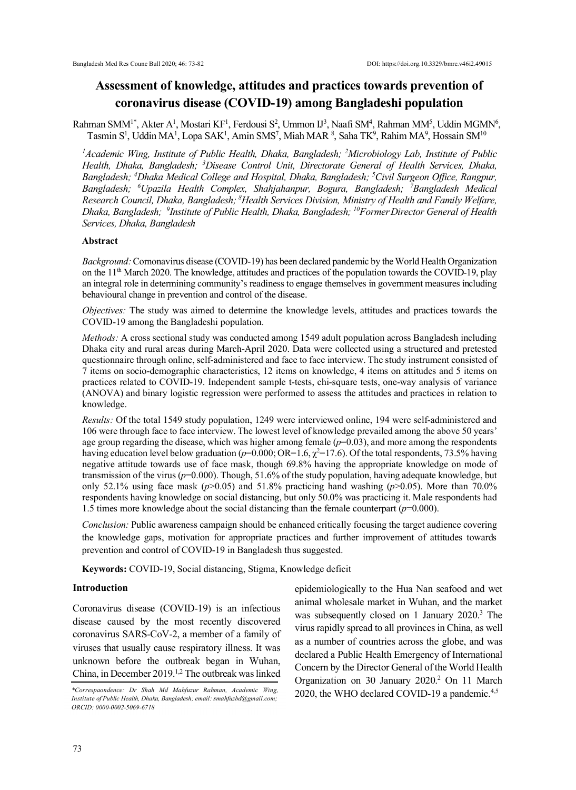# **Assessment of knowledge, attitudes and practices towards prevention of coronavirus disease (COVID-19) among Bangladeshi population**

Rahman SMM<sup>1\*</sup>, Akter A<sup>1</sup>, Mostari KF<sup>1</sup>, Ferdousi S<sup>2</sup>, Ummon IJ<sup>3</sup>, Naafi SM<sup>4</sup>, Rahman MM<sup>5</sup>, Uddin MGMN<sup>6</sup>, Tasmin S<sup>1</sup>, Uddin MA<sup>1</sup>, Lopa SAK<sup>1</sup>, Amin SMS<sup>7</sup>, Miah MAR <sup>8</sup>, Saha TK<sup>9</sup>, Rahim MA<sup>9</sup>, Hossain SM<sup>10</sup>

*<sup>1</sup>Academic Wing, Institute of Public Health, Dhaka, Bangladesh; <sup>2</sup>Microbiology Lab, Institute of Public Health, Dhaka, Bangladesh; <sup>3</sup>Disease Control Unit, Directorate General of Health Services, Dhaka, Bangladesh; <sup>4</sup>Dhaka Medical College and Hospital, Dhaka, Bangladesh; <sup>5</sup>Civil Surgeon Office, Rangpur, Bangladesh; <sup>6</sup>Upazila Health Complex, Shahjahanpur, Bogura, Bangladesh; <sup>7</sup>Bangladesh Medical Research Council, Dhaka, Bangladesh; <sup>8</sup>Health Services Division, Ministry of Health and Family Welfare, Dhaka, Bangladesh; <sup>9</sup> Institute of Public Health, Dhaka, Bangladesh; <sup>10</sup>FormerDirector General of Health Services, Dhaka, Bangladesh*

#### **Abstract**

*Background:*Cornonavirus disease (COVID-19) has been declared pandemic by the World Health Organization on the  $11<sup>th</sup>$  March 2020. The knowledge, attitudes and practices of the population towards the COVID-19, play an integral role in determining community's readiness to engage themselves in government measures including behavioural change in prevention and control of the disease.

*Objectives:* The study was aimed to determine the knowledge levels, attitudes and practices towards the COVID-19 among the Bangladeshi population.

*Methods:* A cross sectional study was conducted among 1549 adult population across Bangladesh including Dhaka city and rural areas during March-April 2020. Data were collected using a structured and pretested questionnaire through online, self-administered and face to face interview. The study instrument consisted of 7 items on socio-demographic characteristics, 12 items on knowledge, 4 items on attitudes and 5 items on practices related to COVID-19. Independent sample t-tests, chi-square tests, one-way analysis of variance (ANOVA) and binary logistic regression were performed to assess the attitudes and practices in relation to knowledge.

*Results:* Of the total 1549 study population, 1249 were interviewed online, 194 were self-administered and 106 were through face to face interview. The lowest level of knowledge prevailed among the above 50 years' age group regarding the disease, which was higher among female  $(p=0.03)$ , and more among the respondents having education level below graduation ( $p=0.000$ ; OR=1.6,  $\chi^2$ =17.6). Of the total respondents, 73.5% having negative attitude towards use of face mask, though 69.8% having the appropriate knowledge on mode of transmission of the virus ( $p=0.000$ ). Though, 51.6% of the study population, having adequate knowledge, but only 52.1% using face mask ( $p > 0.05$ ) and 51.8% practicing hand washing ( $p > 0.05$ ). More than 70.0% respondents having knowledge on social distancing, but only 50.0% was practicing it. Male respondents had 1.5 times more knowledge about the social distancing than the female counterpart  $(p=0.000)$ .

*Conclusion:* Public awareness campaign should be enhanced critically focusing the target audience covering the knowledge gaps, motivation for appropriate practices and further improvement of attitudes towards prevention and control of COVID-19 in Bangladesh thus suggested.

**Keywords:** COVID-19, Social distancing, Stigma, Knowledge deficit

## **Introduction**

Coronavirus disease (COVID-19) is an infectious disease caused by the most recently discovered coronavirus SARS-CoV-2, a member of a family of viruses that usually cause respiratory illness. It was unknown before the outbreak began in Wuhan, China, in December 2019.1,2 The outbreak was linked

epidemiologically to the Hua Nan seafood and wet animal wholesale market in Wuhan, and the market was subsequently closed on 1 January 2020.<sup>3</sup> The virus rapidly spread to all provinces in China, as well as a number of countries across the globe, and was declared a Public Health Emergency of International Concern by the Director General of the World Health Organization on 30 January 2020.<sup>2</sup> On 11 March 2020, the WHO declared COVID-19 a pandemic. *\*Correspaondence: Dr Shah Md Mahfuzur Rahman, Academic Wing,* 4,5

*Institute of Public Health, Dhaka, Bangladesh; email: smahfuzbd@gmail.com; ORCID: 0000-0002-5069-6718*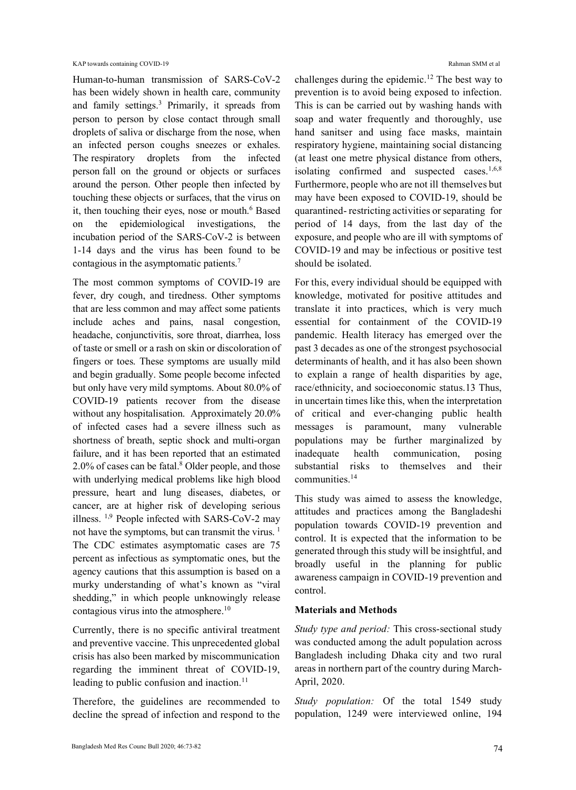Human-to-human transmission of SARS-CoV-2 has been widely shown in health care, community and family settings. <sup>3</sup> Primarily, it spreads from person to person by close contact through small droplets of saliva or discharge from the nose, when an infected person coughs sneezes or exhales. The respiratory droplets from the infected person fall on the ground or objects or surfaces around the person. Other people then infected by touching these objects or surfaces, that the virus on it, then touching their eyes, nose or mouth.<sup>6</sup> Based on the epidemiological investigations, the incubation period of the SARS-CoV-2 is between 1-14 days and the virus has been found to be contagious in the asymptomatic patients.<sup>7</sup>

The most common symptoms of COVID-19 are fever, dry cough, and tiredness. Other symptoms that are less common and may affect some patients include aches and pains, nasal congestion, headache, conjunctivitis, sore throat, diarrhea, loss of taste or smell or a rash on skin or discoloration of fingers or toes. These symptoms are usually mild and begin gradually. Some people become infected but only have very mild symptoms. About 80.0% of COVID-19 patients recover from the disease without any hospitalisation. Approximately 20.0% of infected cases had a severe illness such as shortness of breath, septic shock and multi-organ failure, and it has been reported that an estimated 2.0% of cases can be fatal. <sup>8</sup> Older people, and those with underlying medical problems like high blood pressure, heart and lung diseases, diabetes, or cancer, are at higher risk of developing serious illness. 1,9 People infected with SARS-CoV-2 may not have the symptoms, but can transmit the virus.  $1$ The CDC estimates asymptomatic cases are 75 percent as infectious as symptomatic ones, but the agency cautions that this assumption is based on a murky understanding of what's known as "viral shedding," in which people unknowingly release contagious virus into the atmosphere.<sup>10</sup>

Currently, there is no specific antiviral treatment and preventive vaccine. This unprecedented global crisis has also been marked by miscommunication regarding the imminent threat of COVID-19, leading to public confusion and inaction. $11$ 

Therefore, the guidelines are recommended to decline the spread of infection and respond to the

challenges during the epidemic.<sup>12</sup> The best way to prevention is to avoid being exposed to infection. This is can be carried out by washing hands with soap and water frequently and thoroughly, use hand sanitser and using face masks, maintain respiratory hygiene, maintaining social distancing (at least one metre physical distance from others, isolating confirmed and suspected cases.<sup>1,6,8</sup> Furthermore, people who are not ill themselves but may have been exposed to COVID-19, should be quarantined- restricting activities or separating for period of 14 days, from the last day of the exposure, and people who are ill with symptoms of COVID-19 and may be infectious or positive test should be isolated.

For this, every individual should be equipped with knowledge, motivated for positive attitudes and translate it into practices, which is very much essential for containment of the COVID-19 pandemic. Health literacy has emerged over the past 3 decades as one of the strongest psychosocial determinants of health, and it has also been shown to explain a range of health disparities by age, race/ethnicity, and socioeconomic status.13 Thus, in uncertain times like this, when the interpretation of critical and ever-changing public health messages is paramount, many vulnerable populations may be further marginalized by inadequate health communication, posing substantial risks to themselves and their communities.<sup>14</sup>

This study was aimed to assess the knowledge, attitudes and practices among the Bangladeshi population towards COVID-19 prevention and control. It is expected that the information to be generated through this study will be insightful, and broadly useful in the planning for public awareness campaign in COVID-19 prevention and control.

#### **Materials and Methods**

*Study type and period:* This cross-sectional study was conducted among the adult population across Bangladesh including Dhaka city and two rural areas in northern part of the country during March-April, 2020.

*Study population:* Of the total 1549 study population, 1249 were interviewed online, 194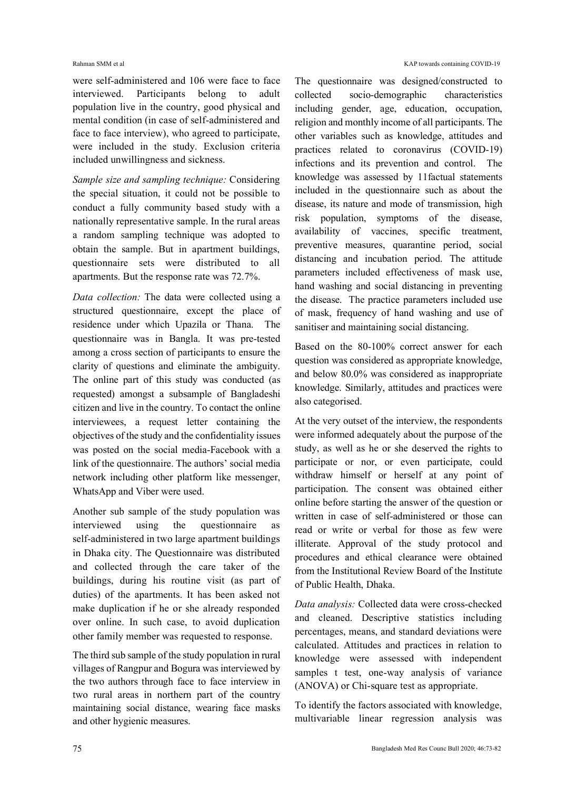were self-administered and 106 were face to face interviewed. Participants belong to adult population live in the country, good physical and mental condition (in case of self-administered and face to face interview), who agreed to participate, were included in the study. Exclusion criteria included unwillingness and sickness.

*Sample size and sampling technique:* Considering the special situation, it could not be possible to conduct a fully community based study with a nationally representative sample. In the rural areas a random sampling technique was adopted to obtain the sample. But in apartment buildings, questionnaire sets were distributed to all apartments. But the response rate was 72.7%.

*Data collection:* The data were collected using a structured questionnaire, except the place of residence under which Upazila or Thana. The questionnaire was in Bangla. It was pre-tested among a cross section of participants to ensure the clarity of questions and eliminate the ambiguity. The online part of this study was conducted (as requested) amongst a subsample of Bangladeshi citizen and live in the country. To contact the online interviewees, a request letter containing the objectives of the study and the confidentiality issues was posted on the social media-Facebook with a link of the questionnaire. The authors' social media network including other platform like messenger, WhatsApp and Viber were used.

Another sub sample of the study population was interviewed using the questionnaire as self-administered in two large apartment buildings in Dhaka city. The Questionnaire was distributed and collected through the care taker of the buildings, during his routine visit (as part of duties) of the apartments. It has been asked not make duplication if he or she already responded over online. In such case, to avoid duplication other family member was requested to response.

The third sub sample of the study population in rural villages of Rangpur and Bogura was interviewed by the two authors through face to face interview in two rural areas in northern part of the country maintaining social distance, wearing face masks and other hygienic measures.

The questionnaire was designed/constructed to collected socio-demographic characteristics including gender, age, education, occupation, religion and monthly income of all participants. The other variables such as knowledge, attitudes and practices related to coronavirus (COVID-19) infections and its prevention and control. The knowledge was assessed by 11factual statements included in the questionnaire such as about the disease, its nature and mode of transmission, high risk population, symptoms of the disease, availability of vaccines, specific treatment, preventive measures, quarantine period, social distancing and incubation period. The attitude parameters included effectiveness of mask use, hand washing and social distancing in preventing the disease. The practice parameters included use of mask, frequency of hand washing and use of sanitiser and maintaining social distancing.

Based on the 80-100% correct answer for each question was considered as appropriate knowledge, and below 80.0% was considered as inappropriate knowledge. Similarly, attitudes and practices were also categorised.

At the very outset of the interview, the respondents were informed adequately about the purpose of the study, as well as he or she deserved the rights to participate or nor, or even participate, could withdraw himself or herself at any point of participation. The consent was obtained either online before starting the answer of the question or written in case of self-administered or those can read or write or verbal for those as few were illiterate. Approval of the study protocol and procedures and ethical clearance were obtained from the Institutional Review Board of the Institute of Public Health, Dhaka.

*Data analysis:* Collected data were cross-checked and cleaned. Descriptive statistics including percentages, means, and standard deviations were calculated. Attitudes and practices in relation to knowledge were assessed with independent samples t test, one-way analysis of variance (ANOVA) or Chi-square test as appropriate.

To identify the factors associated with knowledge, multivariable linear regression analysis was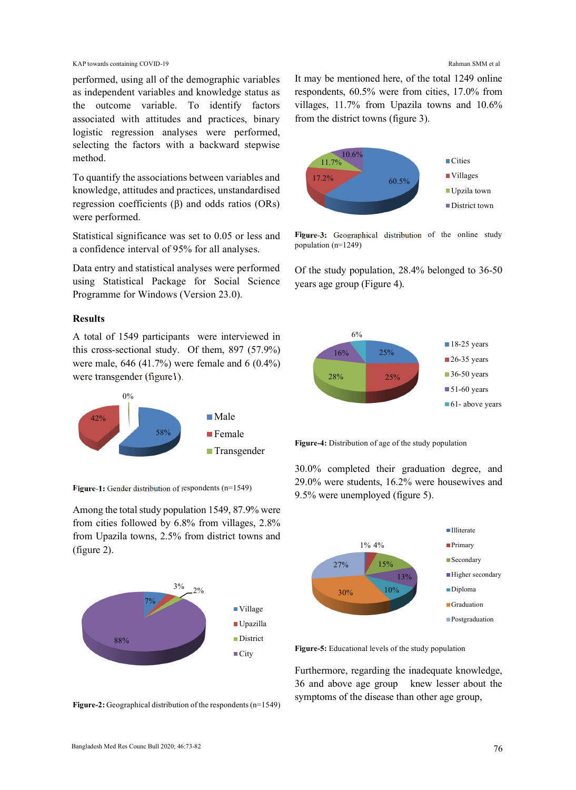KAP towards containing COVID-19 Rahman SMM et al

performed, using all of the demographic variables as independent variables and knowledge status as the outcome variable. To identify factors associated with attitudes and practices, binary logistic regression analyses were performed, selecting the factors with a backward stepwise method.

To quantify the associations between variables and knowledge, attitudes and practices, unstandardised regression coefficients  $(β)$  and odds ratios  $(ORS)$ were performed.

Statistical significance was set to 0.05 or less and a confidence interval of 95% for all analyses.

Data entry and statistical analyses were performed using Statistical Package for Social Science Programme for Windows (Version 23.0).

#### **Results**

A total of 1549 participants were interviewed in this cross-sectional study. Of them, 897 (57.9%) were male, 646 (41.7%) were female and 6 (0.4%) were transgender (figure1).



**Figure-1:** Gender distribution of respondents (n=1549)

Among the total study population 1549, 87.9% were from cities followed by 6.8% from villages, 2.8% from Upazila towns, 2.5% from district towns and (figure 2).



**Figure-2:** Geographical distribution of the respondents (n=1549)

It may be mentioned here, of the total 1249 online respondents, 60.5% were from cities, 17.0% from villages, 11.7% from Upazila towns and 10.6% from the district towns (figure 3).



**Figure-3:** Geographical distribution of the online study population (n=1249)

Of the study population, 28.4% belonged to 36-50 years age group (Figure 4).





30.0% completed their graduation degree, and 29.0% were students, 16.2% were housewives and 9.5% were unemployed (figure 5).



**Figure-5:** Educational levels of the study population

Furthermore, regarding the inadequate knowledge, 36 and above age group knew lesser about the symptoms of the disease than other age group,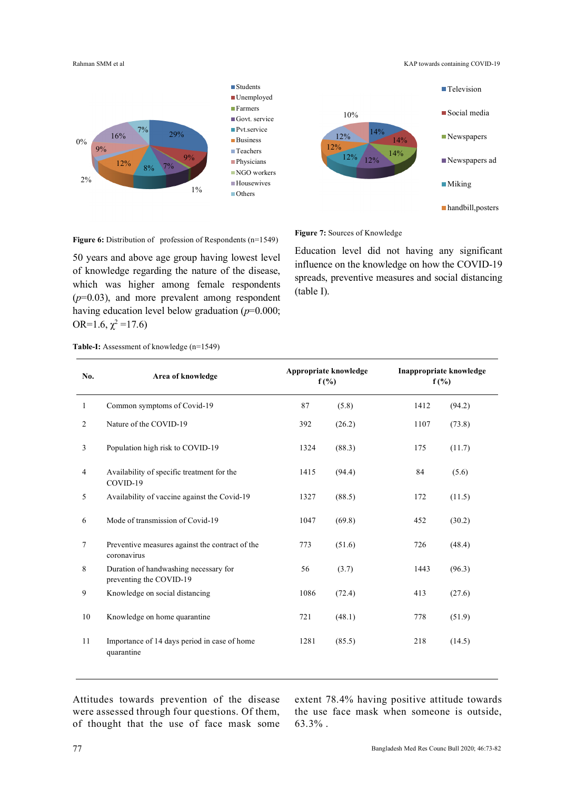Rahman SMM et al **KAP towards containing COVID-19** 





**Figure 6:** Distribution of profession of Respondents (n=1549)

50 years and above age group having lowest level of knowledge regarding the nature of the disease, which was higher among female respondents  $(p=0.03)$ , and more prevalent among respondent having education level below graduation (*p*=0.000; OR=1.6,  $\chi^2$ =17.6)

**Figure 7:** Sources of Knowledge

Education level did not having any significant influence on the knowledge on how the COVID-19 spreads, preventive measures and social distancing (table I).

| No.          | Area of knowledge                                                | Appropriate knowledge<br>$f(\%)$ |        | Inappropriate knowledge<br>$f(\%)$ |        |
|--------------|------------------------------------------------------------------|----------------------------------|--------|------------------------------------|--------|
| $\mathbf{1}$ | Common symptoms of Covid-19                                      | 87                               | (5.8)  | 1412                               | (94.2) |
| 2            | Nature of the COVID-19                                           | 392                              | (26.2) | 1107                               | (73.8) |
| 3            | Population high risk to COVID-19                                 | 1324                             | (88.3) | 175                                | (11.7) |
| 4            | Availability of specific treatment for the<br>COVID-19           | 1415                             | (94.4) | 84                                 | (5.6)  |
| 5            | Availability of vaccine against the Covid-19                     | 1327                             | (88.5) | 172                                | (11.5) |
| 6            | Mode of transmission of Covid-19                                 | 1047                             | (69.8) | 452                                | (30.2) |
| 7            | Preventive measures against the contract of the<br>coronavirus   | 773                              | (51.6) | 726                                | (48.4) |
| 8            | Duration of handwashing necessary for<br>preventing the COVID-19 | 56                               | (3.7)  | 1443                               | (96.3) |
| 9            | Knowledge on social distancing                                   | 1086                             | (72.4) | 413                                | (27.6) |
| 10           | Knowledge on home quarantine                                     | 721                              | (48.1) | 778                                | (51.9) |
| 11           | Importance of 14 days period in case of home<br>quarantine       | 1281                             | (85.5) | 218                                | (14.5) |

**Table-I:** Assessment of knowledge (n=1549)

Attitudes towards prevention of the disease were assessed through four questions. Of them, of thought that the use of face mask some extent 78.4% having positive attitude towards the use face mask when someone is outside, 63.3% .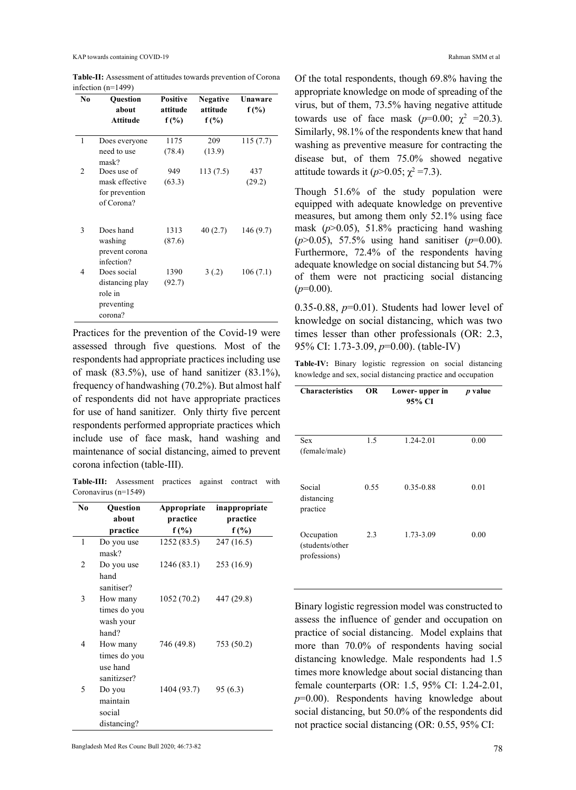| No             | Question        | <b>Positive</b> | <b>Negative</b> | Unaware   |
|----------------|-----------------|-----------------|-----------------|-----------|
|                | about           | attitude        | attitude        | $f(\%)$   |
|                | Attitude        | $f(\%)$         | $f(\%)$         |           |
| $\mathbf{1}$   | Does everyone   | 1175            | 209             | 115(7.7)  |
|                | need to use     | (78.4)          | (13.9)          |           |
|                | mask?           |                 |                 |           |
| $\mathfrak{D}$ | Does use of     | 949             | 113(7.5)        | 437       |
|                | mask effective  | (63.3)          |                 | (29.2)    |
|                | for prevention  |                 |                 |           |
|                | of Corona?      |                 |                 |           |
|                |                 |                 |                 |           |
| 3              | Does hand       | 1313            | 40(2.7)         | 146 (9.7) |
|                | washing         | (87.6)          |                 |           |
|                | prevent corona  |                 |                 |           |
|                | infection?      |                 |                 |           |
| 4              | Does social     | 1390            | 3(.2)           | 106(7.1)  |
|                | distancing play | (92.7)          |                 |           |
|                | role in         |                 |                 |           |
|                | preventing      |                 |                 |           |
|                | corona?         |                 |                 |           |

**Table-II:** Assessment of attitudes towards prevention of Corona infection (n=1499)

Practices for the prevention of the Covid-19 were assessed through five questions. Most of the respondents had appropriate practices including use of mask  $(83.5\%)$ , use of hand sanitizer  $(83.1\%)$ , frequency of handwashing (70.2%). But almost half of respondents did not have appropriate practices for use of hand sanitizer. Only thirty five percent respondents performed appropriate practices which include use of face mask, hand washing and maintenance of social distancing, aimed to prevent corona infection (table-III).

**Table-III:** Assessment practices against contract with Coronavirus (n=1549)

| No             | Question                                            | Appropriate | inappropriate |
|----------------|-----------------------------------------------------|-------------|---------------|
|                | about                                               | practice    | practice      |
|                | practice                                            | $f(\%)$     | f(%)          |
| 1              | Do you use<br>mask?                                 | 1252 (83.5) | 247 (16.5)    |
| $\overline{c}$ | Do you use<br>hand<br>sanitiser?                    | 1246 (83.1) | 253 (16.9)    |
| 3              | How many<br>times do you<br>wash your<br>hand?      | 1052 (70.2) | 447 (29.8)    |
| 4              | How many<br>times do you<br>use hand<br>sanitizser? | 746 (49.8)  | 753 (50.2)    |
| 5              | Do you<br>maintain<br>social<br>distancing?         | 1404 (93.7) | 95 (6.3)      |

Of the total respondents, though 69.8% having the appropriate knowledge on mode of spreading of the virus, but of them, 73.5% having negative attitude towards use of face mask  $(p=0.00; \chi^2 = 20.3)$ . Similarly, 98.1% of the respondents knew that hand washing as preventive measure for contracting the disease but, of them 75.0% showed negative attitude towards it  $(p>0.05; \chi^2=7.3)$ .

Though 51.6% of the study population were equipped with adequate knowledge on preventive measures, but among them only 52.1% using face mask  $(p>0.05)$ , 51.8% practicing hand washing (*p*>0.05), 57.5% using hand sanitiser (*p*=0.00). Furthermore, 72.4% of the respondents having adequate knowledge on social distancing but 54.7% of them were not practicing social distancing  $(p=0.00)$ .

0.35-0.88,  $p=0.01$ ). Students had lower level of knowledge on social distancing, which was two times lesser than other professionals (OR: 2.3, 95% CI: 1.73-3.09, *p*=0.00). (table-IV)

**Table-IV:** Binary logistic regression on social distancing knowledge and sex, social distancing practice and occupation

| <b>Characteristics</b>                        | OR   | Lower-upper in<br>95% CI | p value |
|-----------------------------------------------|------|--------------------------|---------|
| <b>Sex</b><br>(female/male)                   | 1.5  | 1.24-2.01                | 0.00    |
| Social<br>distancing<br>practice              | 0.55 | 0.35-0.88                | 0.01    |
| Occupation<br>(students/other<br>professions) | 2.3  | 1.73-3.09                | 0.00    |

Binary logistic regression model was constructed to assess the influence of gender and occupation on practice of social distancing. Model explains that more than 70.0% of respondents having social distancing knowledge. Male respondents had 1.5 times more knowledge about social distancing than female counterparts (OR: 1.5, 95% CI: 1.24-2.01, *p*=0.00). Respondents having knowledge about social distancing, but 50.0% of the respondents did not practice social distancing (OR: 0.55, 95% CI: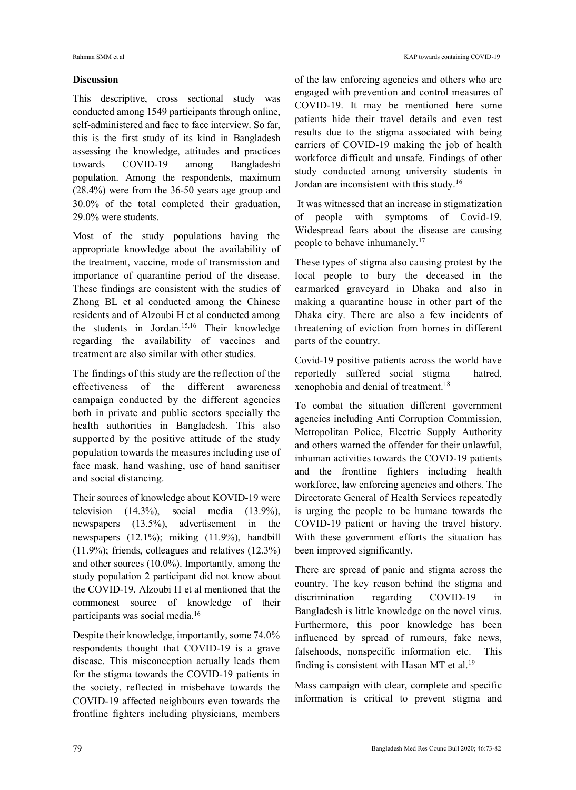### **Discussion**

This descriptive, cross sectional study was conducted among 1549 participants through online, self-administered and face to face interview. So far, this is the first study of its kind in Bangladesh assessing the knowledge, attitudes and practices towards COVID-19 among Bangladeshi population. Among the respondents, maximum (28.4%) were from the 36-50 years age group and 30.0% of the total completed their graduation, 29.0% were students.

Most of the study populations having the appropriate knowledge about the availability of the treatment, vaccine, mode of transmission and importance of quarantine period of the disease. These findings are consistent with the studies of Zhong BL et al conducted among the Chinese residents and of Alzoubi H et al conducted among the students in Jordan.<sup>15,16</sup> Their knowledge regarding the availability of vaccines and treatment are also similar with other studies.

The findings of this study are the reflection of the effectiveness of the different awareness campaign conducted by the different agencies both in private and public sectors specially the health authorities in Bangladesh. This also supported by the positive attitude of the study population towards the measures including use of face mask, hand washing, use of hand sanitiser and social distancing.

Their sources of knowledge about KOVID-19 were television (14.3%), social media (13.9%), newspapers (13.5%), advertisement in the newspapers (12.1%); miking (11.9%), handbill (11.9%); friends, colleagues and relatives (12.3%) and other sources (10.0%). Importantly, among the study population 2 participant did not know about the COVID-19. Alzoubi H et al mentioned that the commonest source of knowledge of their participants was social media.<sup>16</sup>

Despite their knowledge, importantly, some 74.0% respondents thought that COVID-19 is a grave disease. This misconception actually leads them for the stigma towards the COVID-19 patients in the society, reflected in misbehave towards the COVID-19 affected neighbours even towards the frontline fighters including physicians, members

of the law enforcing agencies and others who are engaged with prevention and control measures of COVID-19. It may be mentioned here some patients hide their travel details and even test results due to the stigma associated with being carriers of COVID-19 making the job of health workforce difficult and unsafe. Findings of other study conducted among university students in Jordan are inconsistent with this study.<sup>16</sup>

It was witnessed that an increase in stigmatization of people with symptoms of Covid-19. Widespread fears about the disease are causing people to behave inhumanely.<sup>17</sup>

These types of stigma also causing protest by the local people to bury the deceased in the earmarked graveyard in Dhaka and also in making a quarantine house in other part of the Dhaka city. There are also a few incidents of threatening of eviction from homes in different parts of the country.

Covid-19 positive patients across the world have reportedly suffered social stigma – hatred, xenophobia and denial of treatment.<sup>18</sup>

To combat the situation different government agencies including Anti Corruption Commission, Metropolitan Police, Electric Supply Authority and others warned the offender for their unlawful, inhuman activities towards the COVD-19 patients and the frontline fighters including health workforce, law enforcing agencies and others. The Directorate General of Health Services repeatedly is urging the people to be humane towards the COVID-19 patient or having the travel history. With these government efforts the situation has been improved significantly.

There are spread of panic and stigma across the country. The key reason behind the stigma and discrimination regarding COVID-19 in Bangladesh is little knowledge on the novel virus. Furthermore, this poor knowledge has been influenced by spread of rumours, fake news, falsehoods, nonspecific information etc. This finding is consistent with Hasan MT et al.<sup>19</sup>

Mass campaign with clear, complete and specific information is critical to prevent stigma and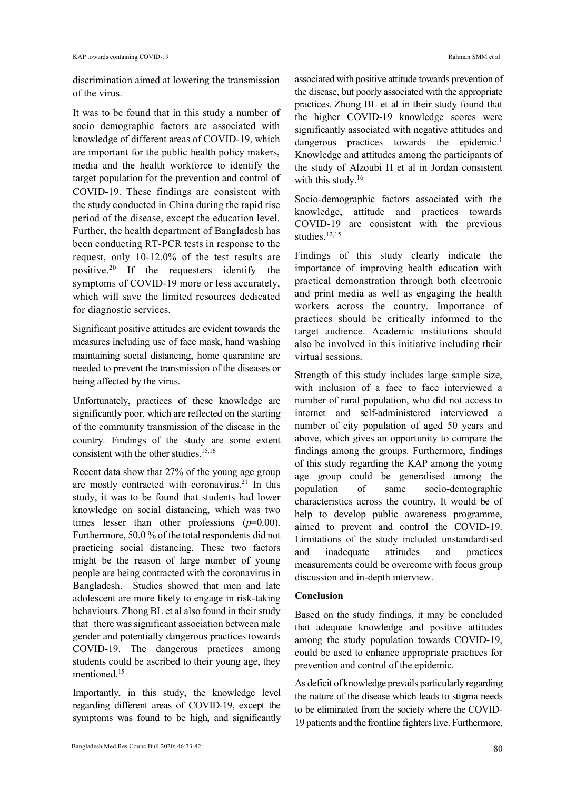discrimination aimed at lowering the transmission of the virus.

It was to be found that in this study a number of socio demographic factors are associated with knowledge of different areas of COVID-19, which are important for the public health policy makers, media and the health workforce to identify the target population for the prevention and control of COVID-19. These findings are consistent with the study conducted in China during the rapid rise period of the disease, except the education level. Further, the health department of Bangladesh has been conducting RT-PCR tests in response to the request, only 10-12.0% of the test results are positive.<sup>20</sup> If the requesters identify the symptoms of COVID-19 more or less accurately, which will save the limited resources dedicated for diagnostic services.

Significant positive attitudes are evident towards the measures including use of face mask, hand washing maintaining social distancing, home quarantine are needed to prevent the transmission of the diseases or being affected by the virus.

Unfortunately, practices of these knowledge are significantly poor, which are reflected on the starting of the community transmission of the disease in the country. Findings of the study are some extent consistent with the other studies. 15,16

Recent data show that 27% of the young age group are mostly contracted with coronavirus.<sup>21</sup> In this study, it was to be found that students had lower knowledge on social distancing, which was two times lesser than other professions (*p*=0.00). Furthermore, 50.0 % of the total respondents did not practicing social distancing. These two factors might be the reason of large number of young people are being contracted with the coronavirus in Bangladesh. Studies showed that men and late adolescent are more likely to engage in risk-taking behaviours. Zhong BL et al also found in their study that there was significant association between male gender and potentially dangerous practices towards COVID-19. The dangerous practices among students could be ascribed to their young age, they mentioned.<sup>15</sup>

Importantly, in this study, the knowledge level regarding different areas of COVID-19, except the symptoms was found to be high, and significantly associated with positive attitude towards prevention of the disease, but poorly associated with the appropriate practices. Zhong BL et al in their study found that the higher COVID-19 knowledge scores were significantly associated with negative attitudes and dangerous practices towards the epidemic.<sup>1</sup> Knowledge and attitudes among the participants of the study of Alzoubi H et al in Jordan consistent with this study. $16$ 

Socio-demographic factors associated with the knowledge, attitude and practices towards COVID-19 are consistent with the previous studies. $12,15$ 

Findings of this study clearly indicate the importance of improving health education with practical demonstration through both electronic and print media as well as engaging the health workers across the country. Importance of practices should be critically informed to the target audience. Academic institutions should also be involved in this initiative including their virtual sessions.

Strength of this study includes large sample size, with inclusion of a face to face interviewed a number of rural population, who did not access to internet and self-administered interviewed a number of city population of aged 50 years and above, which gives an opportunity to compare the findings among the groups. Furthermore, findings of this study regarding the KAP among the young age group could be generalised among the population of same socio-demographic characteristics across the country. It would be of help to develop public awareness programme, aimed to prevent and control the COVID-19. Limitations of the study included unstandardised and inadequate attitudes and practices measurements could be overcome with focus group discussion and in-depth interview.

#### **Conclusion**

Based on the study findings, it may be concluded that adequate knowledge and positive attitudes among the study population towards COVID-19, could be used to enhance appropriate practices for prevention and control of the epidemic.

As deficit of knowledge prevails particularly regarding the nature of the disease which leads to stigma needs to be eliminated from the society where the COVID-19 patients and the frontline fighters live. Furthermore,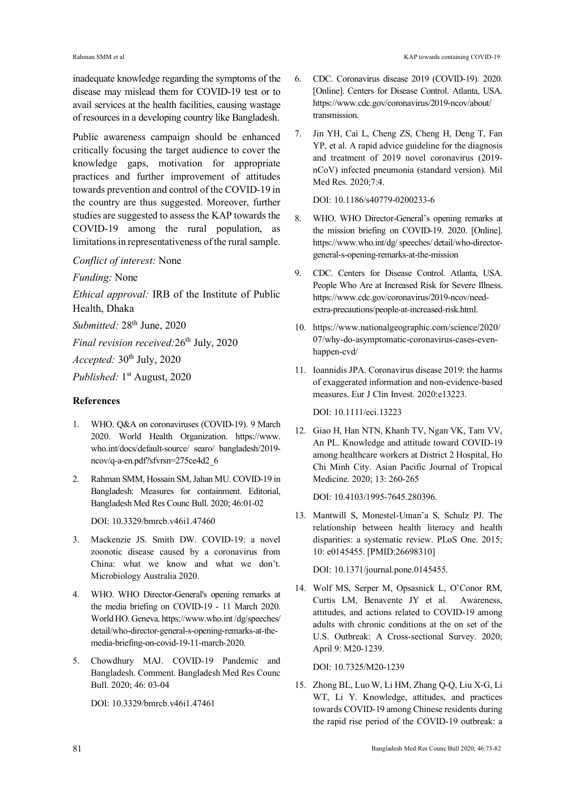inadequate knowledge regarding the symptoms of the disease may mislead them for COVID-19 test or to avail services at the health facilities, causing wastage of resources in a developing country like Bangladesh.

Public awareness campaign should be enhanced critically focusing the target audience to cover the knowledge gaps, motivation for appropriate practices and further improvement of attitudes towards prevention and control of the COVID-19 in the country are thus suggested. Moreover, further studies are suggested to assess the KAP towards the COVID-19 among the rural population, as limitations in representativeness of the rural sample.

#### *Conflict of interest:* None

*Funding:* None

*Ethical approval:* IRB of the Institute of Public Health, Dhaka

*Submitted:* 28<sup>th</sup> June, 2020

*Final revision received:* 26<sup>th</sup> July, 2020

*Accepted:* 30<sup>th</sup> July, 2020

Published: 1st August, 2020

#### **References**

- 1. WHO. Q&A on coronaviruses (COVID-19). 9 March 2020. World Health Organization. https://www. who.int/docs/default-source/ searo/ bangladesh/2019 ncov/q-a-en.pdf?sfvrsn=275ce4d2\_6
- 2. Rahman SMM, Hossain SM, Jahan MU. COVID-19 in Bangladesh: Measures for containment. Editorial, Bangladesh Med Res Counc Bull. 2020; 46:01-02

DOI: 10.3329/bmrcb.v46i1.47460

- 3. Mackenzie JS. Smith DW. COVID-19: a novel zoonotic disease caused by a coronavirus from China: what we know and what we don't. Microbiology Australia 2020.
- 4. WHO. WHO Director-General's opening remarks at the media briefing on COVID-19 - 11 March 2020. World HO. Geneva. https://www.who.int /dg/speeches/ detail/who-director-general-s-opening-remarks-at-themedia-briefing-on-covid-19-11-march-2020.
- 5. Chowdhury MAJ. COVID-19 Pandemic and Bangladesh. Comment. Bangladesh Med Res Counc Bull. 2020; 46: 03-04

DOI: 10.3329/bmrcb.v46i1.47461

- 6. CDC. Coronavirus disease 2019 (COVID-19). 2020. [Online]. Centers for Disease Control. Atlanta, USA. https://www.cdc.gov/coronavirus/2019-ncov/about/ transmission.
- 7. Jin YH, Cai L, Cheng ZS, Cheng H, Deng T, Fan YP, et al. A rapid advice guideline for the diagnosis and treatment of 2019 novel coronavirus (2019 nCoV) infected pneumonia (standard version). Mil Med Res. 2020;7:4.

DOI: 10.1186/s40779-0200233-6

- 8. WHO. WHO Director-General's opening remarks at the mission briefing on COVID-19. 2020. [Online]. https://www.who.int/dg/ speeches/ detail/who-directorgeneral-s-opening-remarks-at-the-mission
- 9. CDC. Centers for Disease Control. Atlanta, USA. People Who Are at Increased Risk for Severe Illness. https://www.cdc.gov/coronavirus/2019-ncov/needextra-precautions/people-at-increased-risk.html.
- 10. https://www.nationalgeographic.com/science/2020/ 07/why-do-asymptomatic-coronavirus-cases-evenhappen-cvd/
- 11. Ioannidis JPA. Coronavirus disease 2019: the harms of exaggerated information and non-evidence-based measures. Eur J Clin Invest. 2020:e13223.

DOI: 10.1111/eci.13223

12. Giao H, Han NTN, Khanh TV, Ngan VK, Tam VV, An PL. Knowledge and attitude toward COVID-19 among healthcare workers at District 2 Hospital, Ho Chi Minh City. Asian Pacific Journal of Tropical Medicine. 2020; 13: 260-265

DOI: 10.4103/1995-7645.280396

13. Mantwill S, Monestel-Uman˜a S, Schulz PJ. The relationship between health literacy and health disparities: a systematic review. PLoS One. 2015; 10: e0145455. [PMID:26698310]

DOI: 10.1371/journal.pone.0145455.

14. Wolf MS, Serper M, Opsasnick L, O'Conor RM, Curtis LM, Benavente JY et al. Awareness, attitudes, and actions related to COVID-19 among adults with chronic conditions at the on set of the U.S. Outbreak: A Cross-sectional Survey. 2020; April 9: M20-1239.

DOI: 10.7325/M20-1239

15. Zhong BL, Luo W, Li HM, Zhang Q-Q, Liu X-G, Li WT, Li Y. Knowledge, attitudes, and practices towards COVID-19 among Chinese residents during the rapid rise period of the COVID-19 outbreak: a